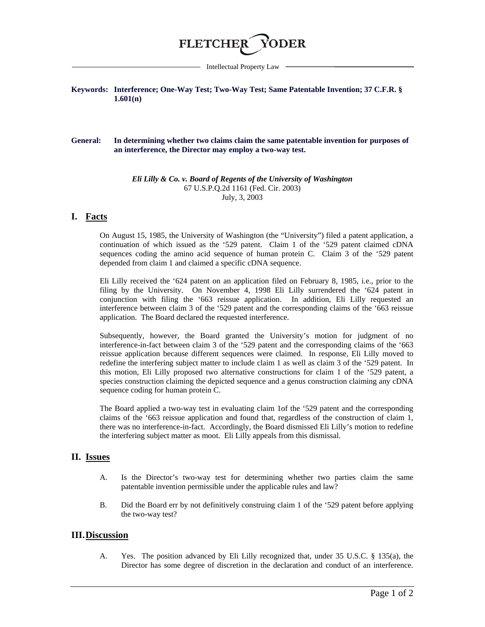

Intellectual Property Law

### **Keywords: Interference; One-Way Test; Two-Way Test; Same Patentable Invention; 37 C.F.R. § 1.601(n)**

#### **General: In determining whether two claims claim the same patentable invention for purposes of an interference, the Director may employ a two-way test.**

*Eli Lilly & Co. v. Board of Regents of the University of Washington* 67 U.S.P.Q.2d 1161 (Fed. Cir. 2003) July, 3, 2003

## **I. Facts**

On August 15, 1985, the University of Washington (the "University") filed a patent application, a continuation of which issued as the '529 patent. Claim 1 of the '529 patent claimed cDNA sequences coding the amino acid sequence of human protein C. Claim 3 of the '529 patent depended from claim 1 and claimed a specific cDNA sequence.

Eli Lilly received the '624 patent on an application filed on February 8, 1985, i.e., prior to the filing by the University. On November 4, 1998 Eli Lilly surrendered the '624 patent in conjunction with filing the '663 reissue application. In addition, Eli Lilly requested an interference between claim 3 of the '529 patent and the corresponding claims of the '663 reissue application. The Board declared the requested interference.

Subsequently, however, the Board granted the University's motion for judgment of no interference-in-fact between claim 3 of the '529 patent and the corresponding claims of the '663 reissue application because different sequences were claimed. In response, Eli Lilly moved to redefine the interfering subject matter to include claim 1 as well as claim 3 of the '529 patent. In this motion, Eli Lilly proposed two alternative constructions for claim 1 of the '529 patent, a species construction claiming the depicted sequence and a genus construction claiming any cDNA sequence coding for human protein C.

The Board applied a two-way test in evaluating claim 1of the '529 patent and the corresponding claims of the '663 reissue application and found that, regardless of the construction of claim 1, there was no interference-in-fact. Accordingly, the Board dismissed Eli Lilly's motion to redefine the interfering subject matter as moot. Eli Lilly appeals from this dismissal.

# **II. Issues**

- A. Is the Director's two-way test for determining whether two parties claim the same patentable invention permissible under the applicable rules and law?
- B. Did the Board err by not definitively construing claim 1 of the '529 patent before applying the two-way test?

## **III.Discussion**

A. Yes. The position advanced by Eli Lilly recognized that, under 35 U.S.C. § 135(a), the Director has some degree of discretion in the declaration and conduct of an interference.